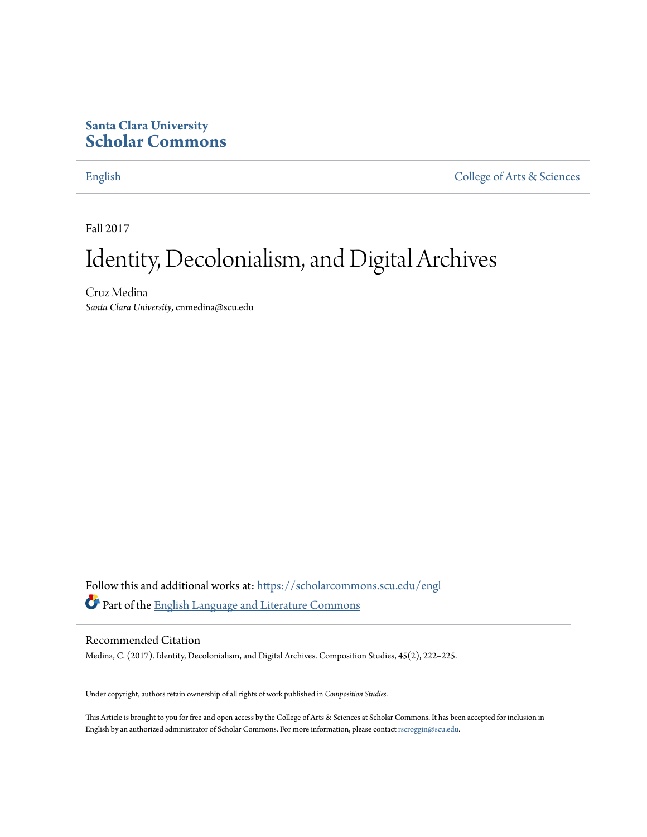# **Santa Clara University [Scholar Commons](https://scholarcommons.scu.edu?utm_source=scholarcommons.scu.edu%2Fengl%2F142&utm_medium=PDF&utm_campaign=PDFCoverPages)**

[English](https://scholarcommons.scu.edu/engl?utm_source=scholarcommons.scu.edu%2Fengl%2F142&utm_medium=PDF&utm_campaign=PDFCoverPages) [College of Arts & Sciences](https://scholarcommons.scu.edu/cas?utm_source=scholarcommons.scu.edu%2Fengl%2F142&utm_medium=PDF&utm_campaign=PDFCoverPages)

Fall 2017

# Identity, Decolonialism, and Digital Archives

Cruz Medina *Santa Clara University*, cnmedina@scu.edu

Follow this and additional works at: [https://scholarcommons.scu.edu/engl](https://scholarcommons.scu.edu/engl?utm_source=scholarcommons.scu.edu%2Fengl%2F142&utm_medium=PDF&utm_campaign=PDFCoverPages) Part of the [English Language and Literature Commons](http://network.bepress.com/hgg/discipline/455?utm_source=scholarcommons.scu.edu%2Fengl%2F142&utm_medium=PDF&utm_campaign=PDFCoverPages)

# Recommended Citation

Medina, C. (2017). Identity, Decolonialism, and Digital Archives. Composition Studies, 45(2), 222–225.

Under copyright, authors retain ownership of all rights of work published in *Composition Studies*.

This Article is brought to you for free and open access by the College of Arts & Sciences at Scholar Commons. It has been accepted for inclusion in English by an authorized administrator of Scholar Commons. For more information, please contact [rscroggin@scu.edu](mailto:rscroggin@scu.edu).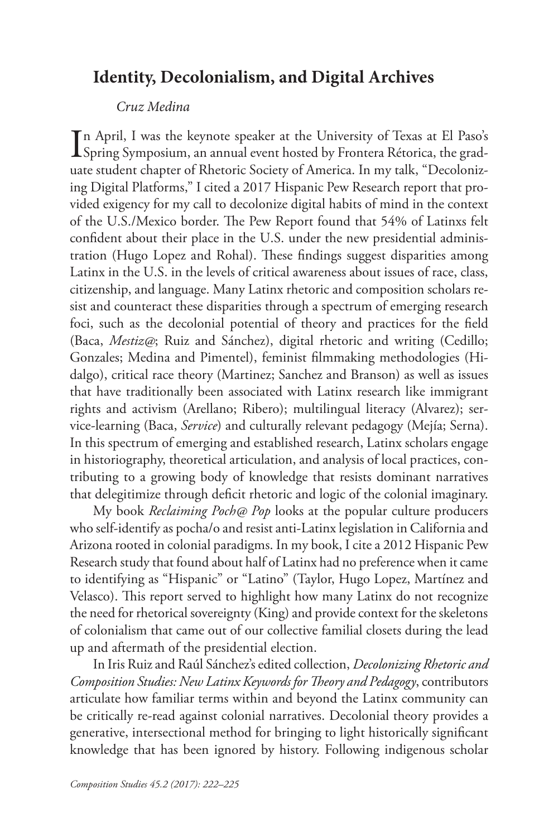# **Identity, Decolonialism, and Digital Archives**

## *Cruz Medina*

In April, I was the keynote speaker at the University of Texas at El Paso's<br>Spring Symposium, an annual event hosted by Frontera Rétorica, the grad-Spring Symposium, an annual event hosted by Frontera Rétorica, the graduate student chapter of Rhetoric Society of America. In my talk, "Decolonizing Digital Platforms," I cited a 2017 Hispanic Pew Research report that provided exigency for my call to decolonize digital habits of mind in the context of the U.S./Mexico border. The Pew Report found that 54% of Latinxs felt confident about their place in the U.S. under the new presidential administration (Hugo Lopez and Rohal). These findings suggest disparities among Latinx in the U.S. in the levels of critical awareness about issues of race, class, citizenship, and language. Many Latinx rhetoric and composition scholars resist and counteract these disparities through a spectrum of emerging research foci, such as the decolonial potential of theory and practices for the field (Baca, *Mestiz@*; Ruiz and Sánchez), digital rhetoric and writing (Cedillo; Gonzales; Medina and Pimentel), feminist filmmaking methodologies (Hidalgo), critical race theory (Martinez; Sanchez and Branson) as well as issues that have traditionally been associated with Latinx research like immigrant rights and activism (Arellano; Ribero); multilingual literacy (Alvarez); service-learning (Baca, *Service*) and culturally relevant pedagogy (Mejía; Serna). In this spectrum of emerging and established research, Latinx scholars engage in historiography, theoretical articulation, and analysis of local practices, contributing to a growing body of knowledge that resists dominant narratives that delegitimize through deficit rhetoric and logic of the colonial imaginary.

My book *Reclaiming Poch@ Pop* looks at the popular culture producers who self-identify as pocha/o and resist anti-Latinx legislation in California and Arizona rooted in colonial paradigms. In my book, I cite a 2012 Hispanic Pew Research study that found about half of Latinx had no preference when it came to identifying as "Hispanic" or "Latino" (Taylor, Hugo Lopez, Martínez and Velasco). This report served to highlight how many Latinx do not recognize the need for rhetorical sovereignty (King) and provide context for the skeletons of colonialism that came out of our collective familial closets during the lead up and aftermath of the presidential election.

In Iris Ruiz and Raúl Sánchez's edited collection, *Decolonizing Rhetoric and Composition Studies: New Latinx Keywords for Theory and Pedagogy*, contributors articulate how familiar terms within and beyond the Latinx community can be critically re-read against colonial narratives. Decolonial theory provides a generative, intersectional method for bringing to light historically significant knowledge that has been ignored by history. Following indigenous scholar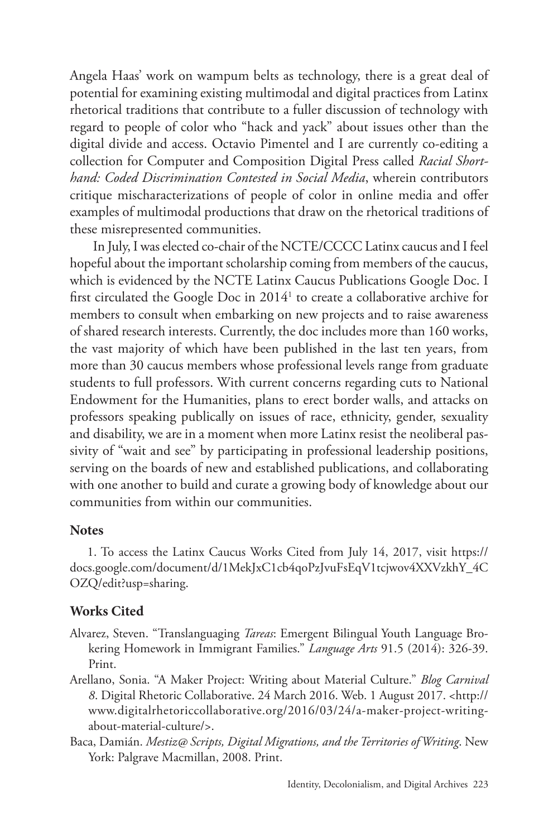Angela Haas' work on wampum belts as technology, there is a great deal of potential for examining existing multimodal and digital practices from Latinx rhetorical traditions that contribute to a fuller discussion of technology with regard to people of color who "hack and yack" about issues other than the digital divide and access. Octavio Pimentel and I are currently co-editing a collection for Computer and Composition Digital Press called *Racial Shorthand: Coded Discrimination Contested in Social Media*, wherein contributors critique mischaracterizations of people of color in online media and offer examples of multimodal productions that draw on the rhetorical traditions of these misrepresented communities.

In July, I was elected co-chair of the NCTE/CCCC Latinx caucus and I feel hopeful about the important scholarship coming from members of the caucus, which is evidenced by the NCTE Latinx Caucus Publications Google Doc. I first circulated the Google Doc in 2014<sup>1</sup> to create a collaborative archive for members to consult when embarking on new projects and to raise awareness of shared research interests. Currently, the doc includes more than 160 works, the vast majority of which have been published in the last ten years, from more than 30 caucus members whose professional levels range from graduate students to full professors. With current concerns regarding cuts to National Endowment for the Humanities, plans to erect border walls, and attacks on professors speaking publically on issues of race, ethnicity, gender, sexuality and disability, we are in a moment when more Latinx resist the neoliberal passivity of "wait and see" by participating in professional leadership positions, serving on the boards of new and established publications, and collaborating with one another to build and curate a growing body of knowledge about our communities from within our communities.

#### **Notes**

1. To access the Latinx Caucus Works Cited from July 14, 2017, visit https:// docs.google.com/document/d/1MekJxC1cb4qoPzJvuFsEqV1tcjwov4XXVzkhY\_4C OZQ/edit?usp=sharing.

### **Works Cited**

- Alvarez, Steven. "Translanguaging *Tareas*: Emergent Bilingual Youth Language Brokering Homework in Immigrant Families." *Language Arts* 91.5 (2014): 326-39. Print.
- Arellano, Sonia. "A Maker Project: Writing about Material Culture." *Blog Carnival 8*. Digital Rhetoric Collaborative. 24 March 2016. Web. 1 August 2017. <http:// www.digitalrhetoriccollaborative.org/2016/03/24/a-maker-project-writingabout-material-culture/>.
- Baca, Damián. *Mestiz@ Scripts, Digital Migrations, and the Territories of Writing*. New York: Palgrave Macmillan, 2008. Print.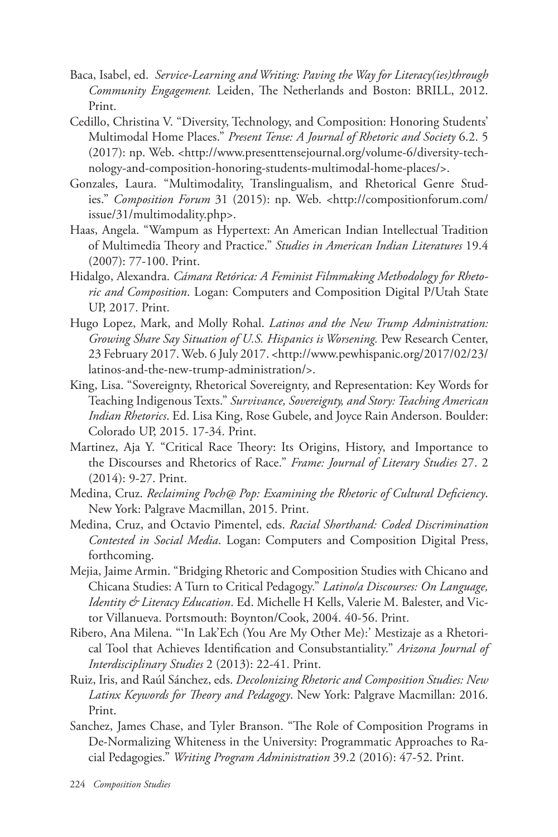- Baca, Isabel, ed. *Service-Learning and Writing: Paving the Way for Literacy(ies)through Community Engagement.* Leiden, The Netherlands and Boston: BRILL, 2012. Print.
- Cedillo, Christina V. "Diversity, Technology, and Composition: Honoring Students' Multimodal Home Places." *Present Tense: A Journal of Rhetoric and Society* 6.2. 5 (2017): np. Web. <http://www.presenttensejournal.org/volume-6/diversity-technology-and-composition-honoring-students-multimodal-home-places/>.
- Gonzales, Laura. "Multimodality, Translingualism, and Rhetorical Genre Studies." *Composition Forum* 31 (2015): np. Web. <http://compositionforum.com/ issue/31/multimodality.php>.
- Haas, Angela. "Wampum as Hypertext: An American Indian Intellectual Tradition of Multimedia Theory and Practice." *Studies in American Indian Literatures* 19.4 (2007): 77-100. Print.
- Hidalgo, Alexandra. *Cámara Retórica: A Feminist Filmmaking Methodology for Rhetoric and Composition*. Logan: Computers and Composition Digital P/Utah State UP, 2017. Print.
- Hugo Lopez, Mark, and Molly Rohal. *Latinos and the New Trump Administration: Growing Share Say Situation of U.S. Hispanics is Worsening.* Pew Research Center, 23 February 2017. Web. 6 July 2017. <http://www.pewhispanic.org/2017/02/23/ latinos-and-the-new-trump-administration/>.
- King, Lisa. "Sovereignty, Rhetorical Sovereignty, and Representation: Key Words for Teaching Indigenous Texts." *Survivance, Sovereignty, and Story: Teaching American Indian Rhetorics*. Ed. Lisa King, Rose Gubele, and Joyce Rain Anderson. Boulder: Colorado UP, 2015. 17-34. Print.
- Martinez, Aja Y. "Critical Race Theory: Its Origins, History, and Importance to the Discourses and Rhetorics of Race." *Frame: Journal of Literary Studies* 27. 2 (2014): 9-27. Print.
- Medina, Cruz. *Reclaiming Poch@ Pop: Examining the Rhetoric of Cultural Deficiency*. New York: Palgrave Macmillan, 2015. Print.
- Medina, Cruz, and Octavio Pimentel, eds. *Racial Shorthand: Coded Discrimination Contested in Social Media*. Logan: Computers and Composition Digital Press, forthcoming.
- Mejia, Jaime Armin. "Bridging Rhetoric and Composition Studies with Chicano and Chicana Studies: A Turn to Critical Pedagogy." *Latino/a Discourses: On Language, Identity & Literacy Education*. Ed. Michelle H Kells, Valerie M. Balester, and Victor Villanueva. Portsmouth: Boynton/Cook, 2004. 40-56. Print.
- Ribero, Ana Milena. "'In Lak'Ech (You Are My Other Me):' Mestizaje as a Rhetorical Tool that Achieves Identification and Consubstantiality." *Arizona Journal of Interdisciplinary Studies* 2 (2013): 22-41. Print.
- Ruiz, Iris, and Raúl Sánchez, eds. *Decolonizing Rhetoric and Composition Studies: New Latinx Keywords for Theory and Pedagogy*. New York: Palgrave Macmillan: 2016. Print.
- Sanchez, James Chase, and Tyler Branson. "The Role of Composition Programs in De-Normalizing Whiteness in the University: Programmatic Approaches to Racial Pedagogies." *Writing Program Administration* 39.2 (2016): 47-52. Print.